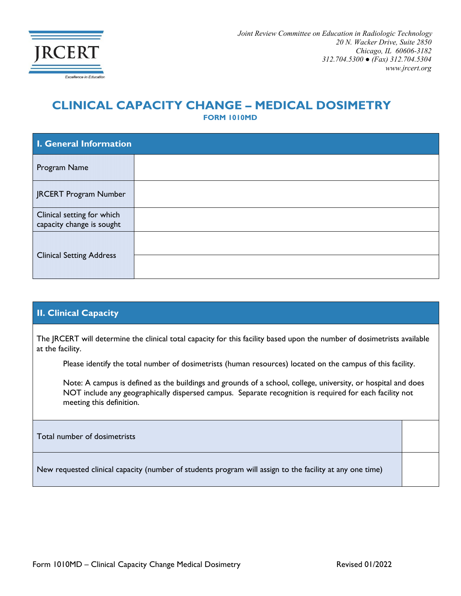

## **CLINICAL CAPACITY CHANGE – MEDICAL DOSIMETRY FORM 1010MD**

**I. General Information** Program Name JRCERT Program Number Clinical setting for which capacity change is sought Clinical Setting Address

## **II. Clinical Capacity**

The JRCERT will determine the clinical total capacity for this facility based upon the number of dosimetrists available at the facility.

Please identify the total number of dosimetrists (human resources) located on the campus of this facility.

Note: A campus is defined as the buildings and grounds of a school, college, university, or hospital and does NOT include any geographically dispersed campus. Separate recognition is required for each facility not meeting this definition.

Total number of dosimetrists

New requested clinical capacity (number of students program will assign to the facility at any one time)